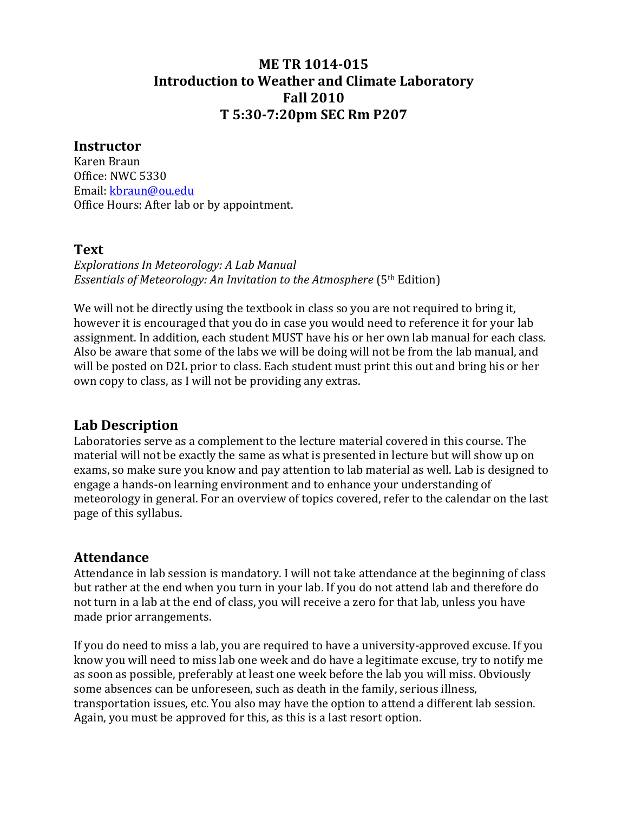# **ME TR 1014015 Introduction to Weather and Climate Laboratory Fall 2010 T 5:307:20pm SEC Rm P207**

#### **Instructor**

Karen Braun Office: NWC 5330 Email: kbraun@ou.edu Office Hours: After lab or by appointment.

#### **Text**

*Explorations In Meteorology: A Lab Manual Essentials of Meteorology: An Invitation to the Atmosphere* (5th Edition)

We will not be directly using the textbook in class so you are not required to bring it, however it is encouraged that you do in case you would need to reference it for your lab assignment. In addition, each student MUST have his or her own lab manual for each class. Also be aware that some of the labs we will be doing will not be from the lab manual, and will be posted on D2L prior to class. Each student must print this out and bring his or her own copy to class, as I will not be providing any extras.

## **Lab Description**

Laboratories serve as a complement to the lecture material covered in this course. The material will not be exactly the same as what is presented in lecture but will show up on exams, so make sure you know and pay attention to lab material as well. Lab is designed to engage a hands‐on learning environment and to enhance your understanding of meteorology in general. For an overview of topics covered, refer to the calendar on the last page of this syllabus.

#### **Attendance**

Attendance in lab session is mandatory. I will not take attendance at the beginning of class but rather at the end when you turn in your lab. If you do not attend lab and therefore do not turn in a lab at the end of class, you will receive a zero for that lab, unless you have made prior arrangements.

If you do need to miss a lab, you are required to have a university‐approved excuse. If you know you will need to miss lab one week and do have a legitimate excuse, try to notify me as soon as possible, preferably at least one week before the lab you will miss. Obviously some absences can be unforeseen, such as death in the family, serious illness, transportation issues, etc. You also may have the option to attend a different lab session. Again, you must be approved for this, as this is a last resort option.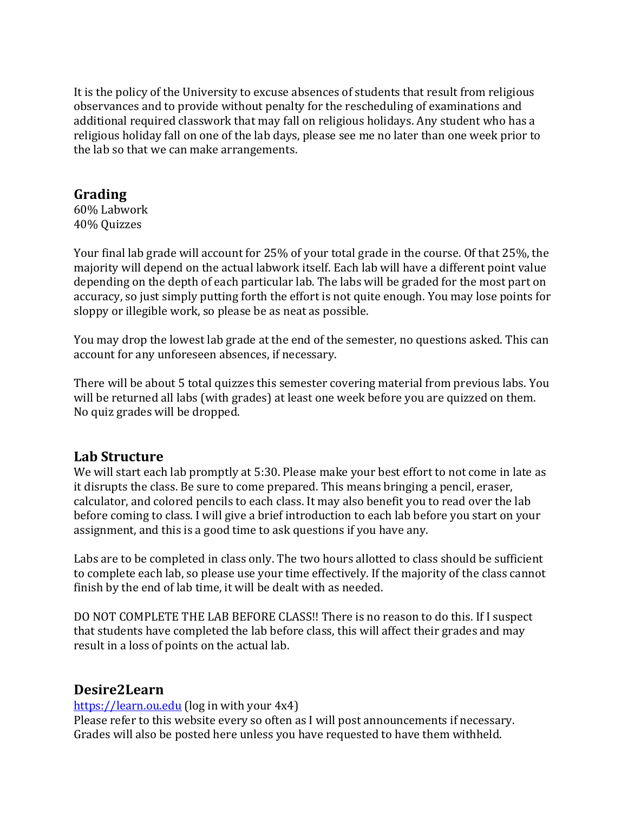It is the policy of the University to excuse absences of students that result from religious observances and to provide without penalty for the rescheduling of examinations and additional required classwork that may fall on religious holidays. Any student who has a religious holiday fall on one of the lab days, please see me no later than one week prior to the lab so that we can make arrangements.

# **Grading**

60% Labwork 40% Quizzes

Your final lab grade will account for 25% of your total grade in the course. Of that 25%, the majority will depend on the actual labwork itself. Each lab will have a different point value depending on the depth of each particular lab. The labs will be graded for the most part on accuracy, so just simply putting forth the effort is not quite enough. You may lose points for sloppy or illegible work, so please be as neat as possible.

You may drop the lowest lab grade at the end of the semester, no questions asked. This can account for any unforeseen absences, if necessary.

There will be about 5 total quizzes this semester covering material from previous labs. You will be returned all labs (with grades) at least one week before you are quizzed on them. No quiz grades will be dropped.

## **Lab Structure**

We will start each lab promptly at 5:30. Please make your best effort to not come in late as it disrupts the class. Be sure to come prepared. This means bringing a pencil, eraser, calculator, and colored pencils to each class. It may also benefit you to read over the lab before coming to class. I will give a brief introduction to each lab before you start on your assignment, and this is a good time to ask questions if you have any.

Labs are to be completed in class only. The two hours allotted to class should be sufficient to complete each lab, so please use your time effectively. If the majority of the class cannot finish by the end of lab time, it will be dealt with as needed.

DO NOT COMPLETE THE LAB BEFORE CLASS!! There is no reason to do this. If I suspect that students have completed the lab before class, this will affect their grades and may result in a loss of points on the actual lab.

## **Desire2Learn**

#### https://learn.ou.edu (log in with your 4x4)

Please refer to this website every so often as I will post announcements if necessary. Grades will also be posted here unless you have requested to have them withheld.